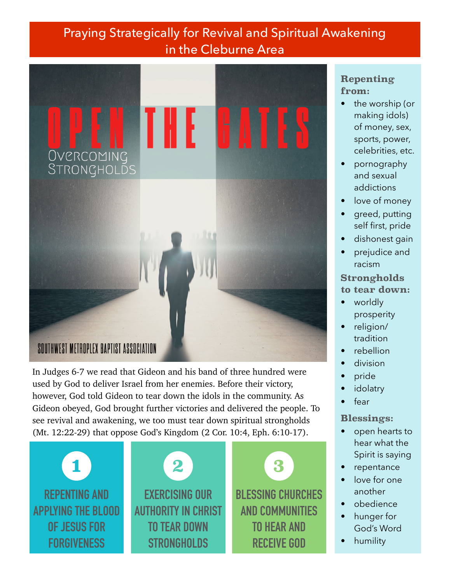# Praying Strategically for Revival and Spiritual Awakening in the Cleburne Area



In Judges 6-7 we read that Gideon and his band of three hundred were used by God to deliver Israel from her enemies. Before their victory, however, God told Gideon to tear down the idols in the community. As Gideon obeyed, God brought further victories and delivered the people. To see revival and awakening, we too must tear down spiritual strongholds (Mt. 12:22-29) that oppose God's Kingdom (2 Cor. 10:4, Eph. 6:10-17).





**BLESSING CHURCHES AND COMMUNITIES TO HEAR AND RECEIVE GOD**

## **Repenting from:**

- the worship (or making idols) of money, sex, sports, power, celebrities, etc.
- pornography and sexual addictions
- love of money
- greed, putting self first, pride
- dishonest gain
- prejudice and racism

#### **Strongholds to tear down:**

- worldly prosperity
- religion/ tradition
- rebellion
- division
- pride
- **idolatry**
- fear

### **Blessings:**

- open hearts to hear what the Spirit is saying
- repentance
- love for one another
- obedience
- hunger for God's Word
- humility